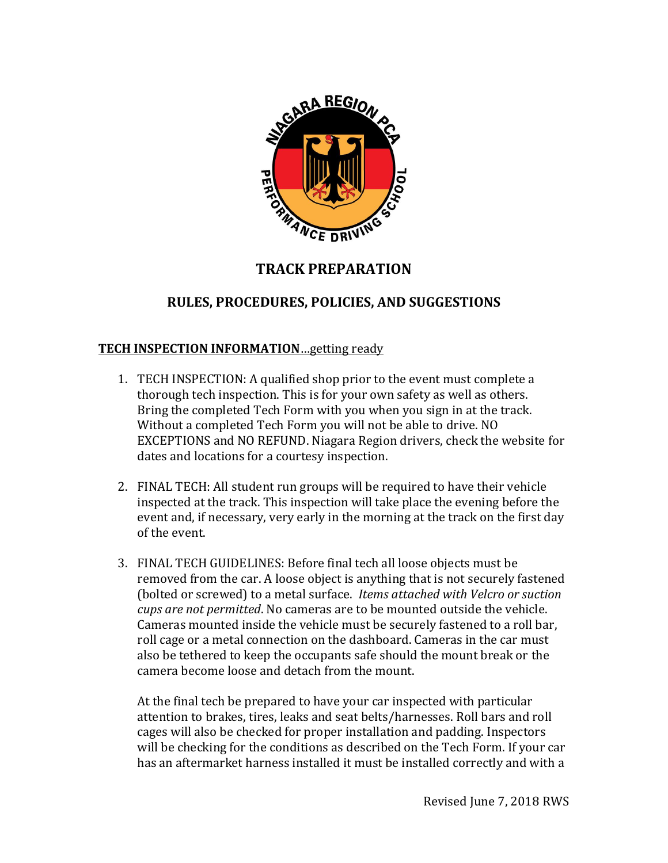

# **TRACK PREPARATION**

# **RULES, PROCEDURES, POLICIES, AND SUGGESTIONS**

### **TECH INSPECTION INFORMATION**…getting ready

- 1. TECH INSPECTION: A qualified shop prior to the event must complete a thorough tech inspection. This is for your own safety as well as others. Bring the completed Tech Form with you when you sign in at the track. Without a completed Tech Form you will not be able to drive. NO EXCEPTIONS and NO REFUND. Niagara Region drivers, check the website for dates and locations for a courtesy inspection.
- 2. FINAL TECH: All student run groups will be required to have their vehicle inspected at the track. This inspection will take place the evening before the event and, if necessary, very early in the morning at the track on the first day of the event.
- 3. FINAL TECH GUIDELINES: Before final tech all loose objects must be removed from the car. A loose object is anything that is not securely fastened (bolted or screwed) to a metal surface. *Items attached with Velcro or suction cups are not permitted*. No cameras are to be mounted outside the vehicle. Cameras mounted inside the vehicle must be securely fastened to a roll bar, roll cage or a metal connection on the dashboard. Cameras in the car must also be tethered to keep the occupants safe should the mount break or the camera become loose and detach from the mount.

At the final tech be prepared to have your car inspected with particular attention to brakes, tires, leaks and seat belts/harnesses. Roll bars and roll cages will also be checked for proper installation and padding. Inspectors will be checking for the conditions as described on the Tech Form. If your car has an aftermarket harness installed it must be installed correctly and with a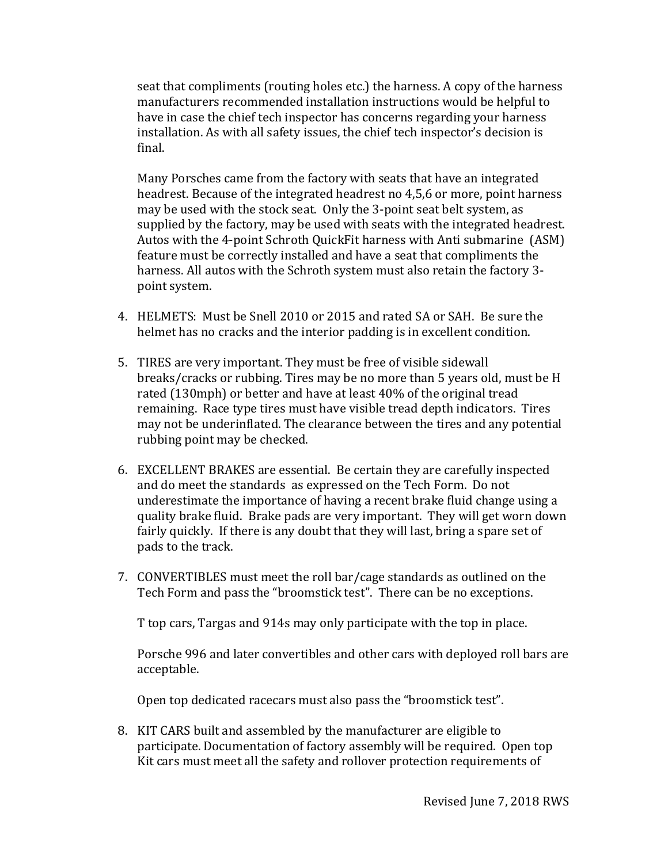seat that compliments (routing holes etc.) the harness. A copy of the harness manufacturers recommended installation instructions would be helpful to have in case the chief tech inspector has concerns regarding your harness installation. As with all safety issues, the chief tech inspector's decision is final.

Many Porsches came from the factory with seats that have an integrated headrest. Because of the integrated headrest no 4,5,6 or more, point harness may be used with the stock seat. Only the 3-point seat belt system, as supplied by the factory, may be used with seats with the integrated headrest. Autos with the 4-point Schroth QuickFit harness with Anti submarine (ASM) feature must be correctly installed and have a seat that compliments the harness. All autos with the Schroth system must also retain the factory 3 point system.

- 4. HELMETS: Must be Snell 2010 or 2015 and rated SA or SAH. Be sure the helmet has no cracks and the interior padding is in excellent condition.
- 5. TIRES are very important. They must be free of visible sidewall breaks/cracks or rubbing. Tires may be no more than 5 years old, must be H rated (130mph) or better and have at least 40% of the original tread remaining. Race type tires must have visible tread depth indicators. Tires may not be underinflated. The clearance between the tires and any potential rubbing point may be checked.
- 6. EXCELLENT BRAKES are essential. Be certain they are carefully inspected and do meet the standards as expressed on the Tech Form. Do not underestimate the importance of having a recent brake fluid change using a quality brake fluid. Brake pads are very important. They will get worn down fairly quickly. If there is any doubt that they will last, bring a spare set of pads to the track.
- 7. CONVERTIBLES must meet the roll bar/cage standards as outlined on the Tech Form and pass the "broomstick test". There can be no exceptions.

T top cars, Targas and 914s may only participate with the top in place.

Porsche 996 and later convertibles and other cars with deployed roll bars are acceptable.

Open top dedicated racecars must also pass the "broomstick test".

8. KIT CARS built and assembled by the manufacturer are eligible to participate. Documentation of factory assembly will be required. Open top Kit cars must meet all the safety and rollover protection requirements of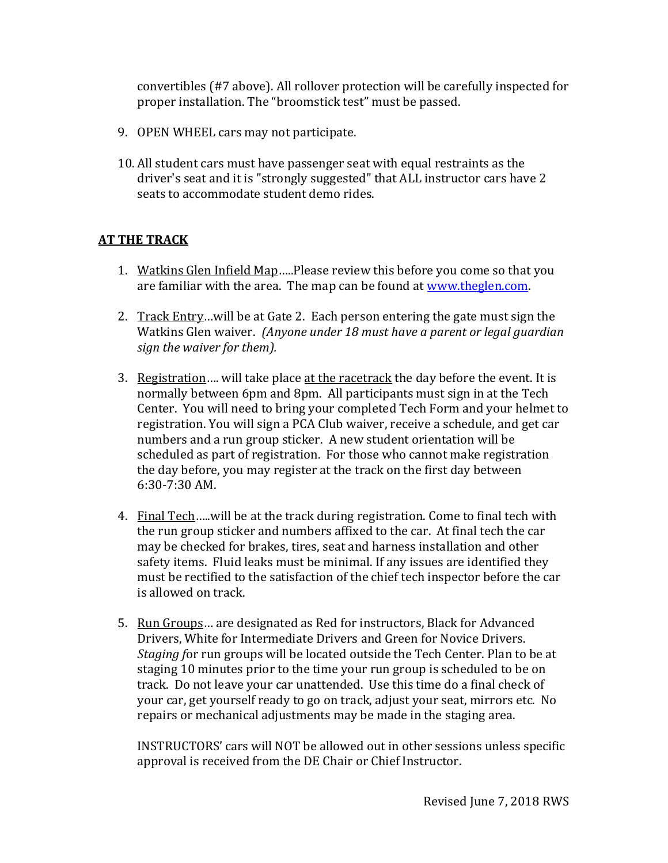convertibles (#7 above). All rollover protection will be carefully inspected for proper installation. The "broomstick test" must be passed.

- 9. OPEN WHEEL cars may not participate.
- 10. All student cars must have passenger seat with equal restraints as the driver's seat and it is "strongly suggested" that ALL instructor cars have 2 seats to accommodate student demo rides.

### **AT THE TRACK**

- 1. Watkins Glen Infield Map…..Please review this before you come so that you are familiar with the area. The map can be found at [www.theglen.com.](http://www.theglen.com/)
- 2. Track Entry... will be at Gate 2. Each person entering the gate must sign the Watkins Glen waiver. *(Anyone under 18 must have a parent or legal guardian sign the waiver for them).*
- 3. Registration…. will take place at the racetrack the day before the event. It is normally between 6pm and 8pm. All participants must sign in at the Tech Center. You will need to bring your completed Tech Form and your helmet to registration. You will sign a PCA Club waiver, receive a schedule, and get car numbers and a run group sticker. A new student orientation will be scheduled as part of registration. For those who cannot make registration the day before, you may register at the track on the first day between 6:30-7:30 AM.
- 4. Final Tech…..will be at the track during registration. Come to final tech with the run group sticker and numbers affixed to the car. At final tech the car may be checked for brakes, tires, seat and harness installation and other safety items. Fluid leaks must be minimal. If any issues are identified they must be rectified to the satisfaction of the chief tech inspector before the car is allowed on track.
- 5. Run Groups... are designated as Red for instructors, Black for Advanced Drivers, White for Intermediate Drivers and Green for Novice Drivers. *Staging f*or run groups will be located outside the Tech Center. Plan to be at staging 10 minutes prior to the time your run group is scheduled to be on track. Do not leave your car unattended. Use this time do a final check of your car, get yourself ready to go on track, adjust your seat, mirrors etc. No repairs or mechanical adjustments may be made in the staging area.

INSTRUCTORS' cars will NOT be allowed out in other sessions unless specific approval is received from the DE Chair or Chief Instructor.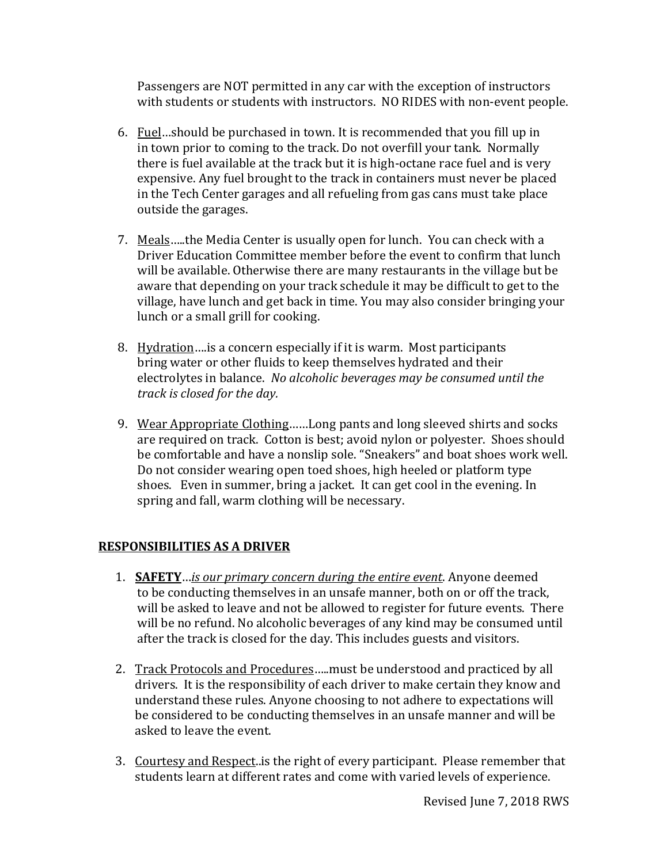Passengers are NOT permitted in any car with the exception of instructors with students or students with instructors. NO RIDES with non-event people.

- 6. Fuel…should be purchased in town. It is recommended that you fill up in in town prior to coming to the track. Do not overfill your tank. Normally there is fuel available at the track but it is high-octane race fuel and is very expensive. Any fuel brought to the track in containers must never be placed in the Tech Center garages and all refueling from gas cans must take place outside the garages.
- 7. Meals…..the Media Center is usually open for lunch. You can check with a Driver Education Committee member before the event to confirm that lunch will be available. Otherwise there are many restaurants in the village but be aware that depending on your track schedule it may be difficult to get to the village, have lunch and get back in time. You may also consider bringing your lunch or a small grill for cooking.
- 8. Hydration...is a concern especially if it is warm. Most participants bring water or other fluids to keep themselves hydrated and their electrolytes in balance. *No alcoholic beverages may be consumed until the track is closed for the day.*
- 9. Wear Appropriate Clothing……Long pants and long sleeved shirts and socks are required on track. Cotton is best; avoid nylon or polyester. Shoes should be comfortable and have a nonslip sole. "Sneakers" and boat shoes work well. Do not consider wearing open toed shoes, high heeled or platform type shoes. Even in summer, bring a jacket. It can get cool in the evening. In spring and fall, warm clothing will be necessary.

## **RESPONSIBILITIES AS A DRIVER**

- 1. **SAFETY**…*is our primary concern during the entire event*. Anyone deemed to be conducting themselves in an unsafe manner, both on or off the track, will be asked to leave and not be allowed to register for future events. There will be no refund. No alcoholic beverages of any kind may be consumed until after the track is closed for the day. This includes guests and visitors.
- 2. Track Protocols and Procedures…..must be understood and practiced by all drivers. It is the responsibility of each driver to make certain they know and understand these rules. Anyone choosing to not adhere to expectations will be considered to be conducting themselves in an unsafe manner and will be asked to leave the event.
- 3. Courtesy and Respect..is the right of every participant. Please remember that students learn at different rates and come with varied levels of experience.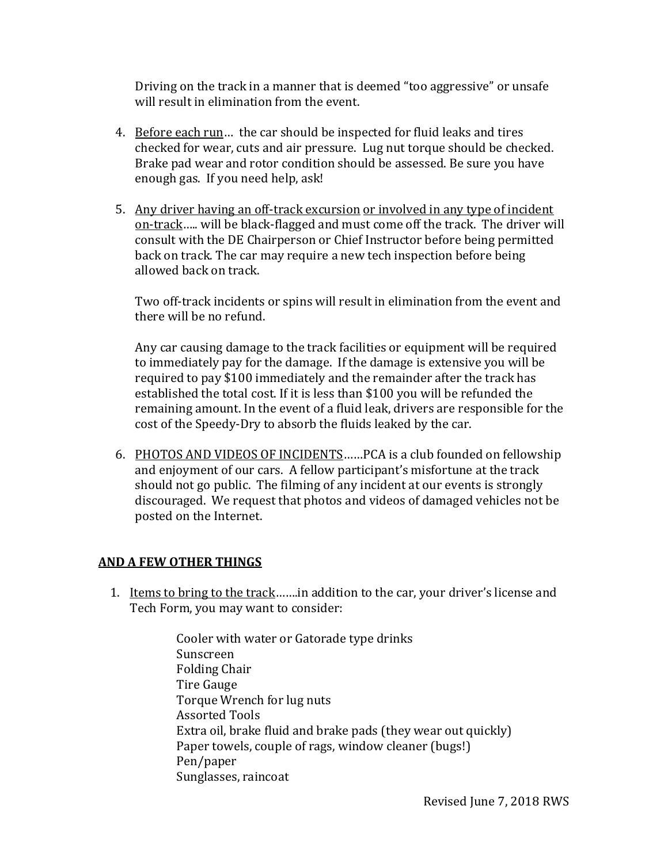Driving on the track in a manner that is deemed "too aggressive" or unsafe will result in elimination from the event.

- 4. Before each run… the car should be inspected for fluid leaks and tires checked for wear, cuts and air pressure. Lug nut torque should be checked. Brake pad wear and rotor condition should be assessed. Be sure you have enough gas. If you need help, ask!
- 5. Any driver having an off-track excursion or involved in any type of incident on-track….. will be black-flagged and must come off the track. The driver will consult with the DE Chairperson or Chief Instructor before being permitted back on track. The car may require a new tech inspection before being allowed back on track.

Two off-track incidents or spins will result in elimination from the event and there will be no refund.

Any car causing damage to the track facilities or equipment will be required to immediately pay for the damage. If the damage is extensive you will be required to pay \$100 immediately and the remainder after the track has established the total cost. If it is less than \$100 you will be refunded the remaining amount. In the event of a fluid leak, drivers are responsible for the cost of the Speedy-Dry to absorb the fluids leaked by the car.

6. PHOTOS AND VIDEOS OF INCIDENTS……PCA is a club founded on fellowship and enjoyment of our cars. A fellow participant's misfortune at the track should not go public. The filming of any incident at our events is strongly discouraged. We request that photos and videos of damaged vehicles not be posted on the Internet.

## **AND A FEW OTHER THINGS**

- 1. Items to bring to the track…….in addition to the car, your driver's license and Tech Form, you may want to consider:
	- Cooler with water or Gatorade type drinks Sunscreen Folding Chair Tire Gauge Torque Wrench for lug nuts Assorted Tools Extra oil, brake fluid and brake pads (they wear out quickly) Paper towels, couple of rags, window cleaner (bugs!) Pen/paper Sunglasses, raincoat